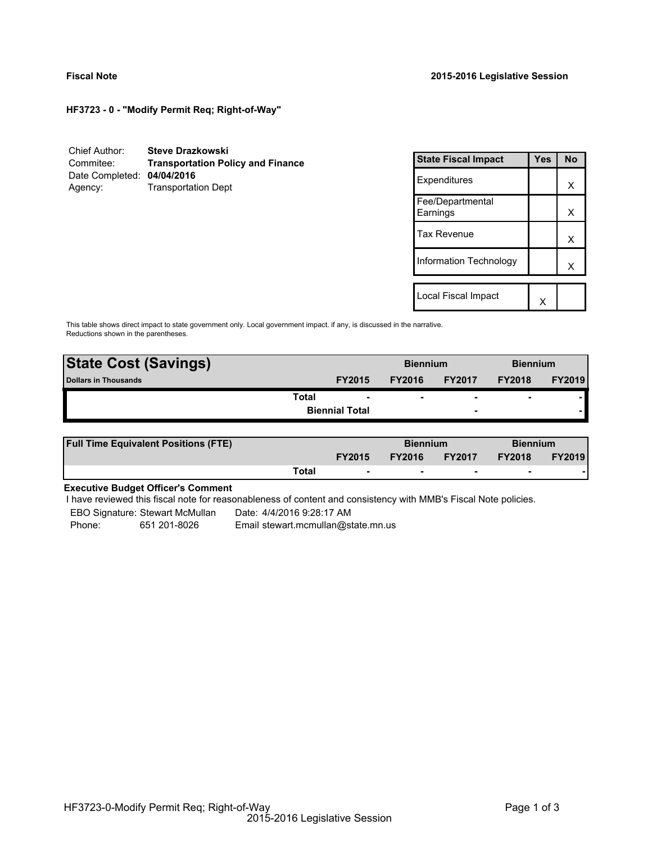**HF3723 - 0 - "Modify Permit Req; Right-of-Way"**

| Chief Author:              | <b>Steve Drazkowski</b>                  |
|----------------------------|------------------------------------------|
| Commitee:                  | <b>Transportation Policy and Finance</b> |
| Date Completed: 04/04/2016 |                                          |
| Agency:                    | <b>Transportation Dept</b>               |

| <b>State Fiscal Impact</b>   | Yes | <b>No</b> |
|------------------------------|-----|-----------|
| Expenditures                 |     | х         |
| Fee/Departmental<br>Earnings |     | x         |
| <b>Tax Revenue</b>           |     | х         |
| Information Technology       |     | x         |
|                              |     |           |
| Local Fiscal Impact          |     |           |

This table shows direct impact to state government only. Local government impact. if any, is discussed in the narrative. Reductions shown in the parentheses.

| <b>State Cost (Savings)</b> |                       |               | <b>Biennium</b> |                          | <b>Biennium</b> |               |
|-----------------------------|-----------------------|---------------|-----------------|--------------------------|-----------------|---------------|
| Dollars in Thousands        |                       | <b>FY2015</b> | <b>FY2016</b>   | <b>FY2017</b>            | <b>FY2018</b>   | <b>FY2019</b> |
|                             | Total                 |               | ۰               | $\overline{\phantom{0}}$ | $\blacksquare$  |               |
|                             | <b>Biennial Total</b> |               |                 | $\overline{\phantom{0}}$ |                 |               |

| <b>Full Time Equivalent Positions (FTE)</b> |       |                          | <b>Biennium</b> |                          | <b>Biennium</b> |               |
|---------------------------------------------|-------|--------------------------|-----------------|--------------------------|-----------------|---------------|
|                                             |       | <b>FY2015</b>            | <b>FY2016</b>   | <b>FY2017</b>            | <b>FY2018</b>   | <b>FY2019</b> |
|                                             | Total | $\overline{\phantom{a}}$ | $\sim$          | $\overline{\phantom{a}}$ | $\sim$          |               |

# **Executive Budget Officer's Comment**

-

I have reviewed this fiscal note for reasonableness of content and consistency with MMB's Fiscal Note policies.

EBO Signature: Stewart McMullan Date: 4/4/2016 9:28:17 AM

Phone: 651 201-8026 Email stewart.mcmullan@state.mn.us